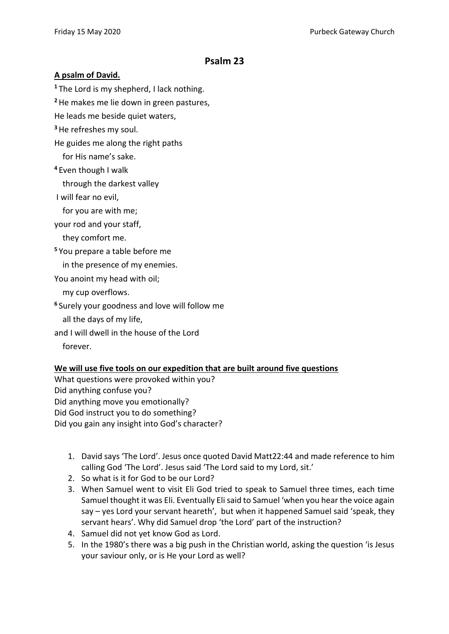## **Psalm 23**

## **A psalm of David.**

**<sup>1</sup>** The Lord is my shepherd, I lack nothing.

**<sup>2</sup>**He makes me lie down in green pastures,

He leads me beside quiet waters,

**<sup>3</sup>**He refreshes my soul.

He guides me along the right paths

for His name's sake.

**<sup>4</sup>** Even though I walk

through the darkest valley

I will fear no evil,

for you are with me;

your rod and your staff,

## they comfort me.

**<sup>5</sup>** You prepare a table before me

in the presence of my enemies.

You anoint my head with oil;

my cup overflows.

**<sup>6</sup>** Surely your goodness and love will follow me

all the days of my life,

and I will dwell in the house of the Lord

forever.

## **We will use five tools on our expedition that are built around five questions**

What questions were provoked within you? Did anything confuse you? Did anything move you emotionally? Did God instruct you to do something? Did you gain any insight into God's character?

- 1. David says 'The Lord'. Jesus once quoted David Matt22:44 and made reference to him calling God 'The Lord'. Jesus said 'The Lord said to my Lord, sit.'
- 2. So what is it for God to be our Lord?
- 3. When Samuel went to visit Eli God tried to speak to Samuel three times, each time Samuel thought it was Eli. Eventually Eli said to Samuel 'when you hear the voice again say – yes Lord your servant heareth', but when it happened Samuel said 'speak, they servant hears'. Why did Samuel drop 'the Lord' part of the instruction?
- 4. Samuel did not yet know God as Lord.
- 5. In the 1980's there was a big push in the Christian world, asking the question 'is Jesus your saviour only, or is He your Lord as well?